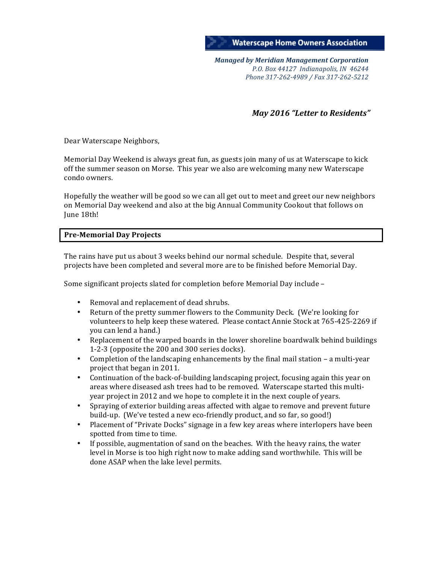

*Managed by Meridian Management Corporation P.O. Box 44127 Indianapolis, IN 46244 Phone 317-262-4989 / Fax 317-262-5212*

*May* 2016 "Letter to Residents"

Dear Waterscape Neighbors,

Memorial Day Weekend is always great fun, as guests join many of us at Waterscape to kick off the summer season on Morse. This year we also are welcoming many new Waterscape condo owners. 

Hopefully the weather will be good so we can all get out to meet and greet our new neighbors on Memorial Day weekend and also at the big Annual Community Cookout that follows on June 18th!

# **Pre-Memorial Day Projects**

The rains have put us about 3 weeks behind our normal schedule. Despite that, several projects have been completed and several more are to be finished before Memorial Day.

Some significant projects slated for completion before Memorial Day include –

- Removal and replacement of dead shrubs.
- Return of the pretty summer flowers to the Community Deck. (We're looking for volunteers to help keep these watered. Please contact Annie Stock at 765-425-2269 if you can lend a hand.)
- Replacement of the warped boards in the lower shoreline boardwalk behind buildings 1-2-3 (opposite the 200 and 300 series docks).
- Completion of the landscaping enhancements by the final mail station a multi-year project that began in 2011.
- Continuation of the back-of-building landscaping project, focusing again this year on areas where diseased ash trees had to be removed. Waterscape started this multiyear project in 2012 and we hope to complete it in the next couple of years.
- Spraying of exterior building areas affected with algae to remove and prevent future build-up. (We've tested a new eco-friendly product, and so far, so good!)
- Placement of "Private Docks" signage in a few key areas where interlopers have been spotted from time to time.
- If possible, augmentation of sand on the beaches. With the heavy rains, the water level in Morse is too high right now to make adding sand worthwhile. This will be done ASAP when the lake level permits.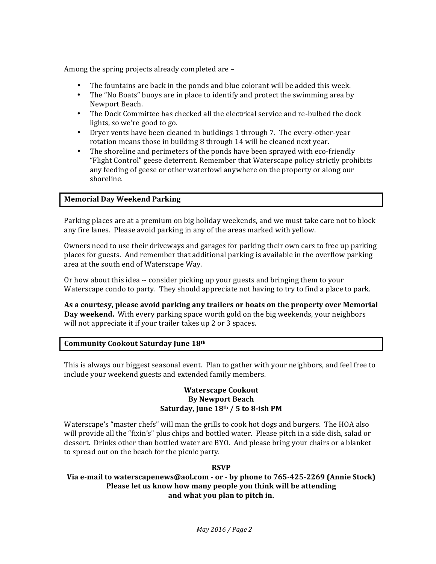Among the spring projects already completed are  $-$ 

- The fountains are back in the ponds and blue colorant will be added this week.
- The "No Boats" buoys are in place to identify and protect the swimming area by Newport Beach.
- The Dock Committee has checked all the electrical service and re-bulbed the dock lights, so we're good to go.
- Dryer vents have been cleaned in buildings 1 through 7. The every-other-year rotation means those in building  $8$  through 14 will be cleaned next year.
- The shoreline and perimeters of the ponds have been sprayed with eco-friendly "Flight Control" geese deterrent. Remember that Waterscape policy strictly prohibits any feeding of geese or other waterfowl anywhere on the property or along our shoreline.

# **Memorial Day Weekend Parking**

Parking places are at a premium on big holiday weekends, and we must take care not to block any fire lanes. Please avoid parking in any of the areas marked with yellow.

Owners need to use their driveways and garages for parking their own cars to free up parking places for guests. And remember that additional parking is available in the overflow parking area at the south end of Waterscape Way.

Or how about this idea -- consider picking up your guests and bringing them to your Waterscape condo to party. They should appreciate not having to try to find a place to park.

As a courtesy, please avoid parking any trailers or boats on the property over Memorial **Day weekend.** With every parking space worth gold on the big weekends, your neighbors will not appreciate it if your trailer takes up 2 or 3 spaces.

# **Community Cookout Saturday June 18th**

This is always our biggest seasonal event. Plan to gather with your neighbors, and feel free to include your weekend guests and extended family members.

## **Waterscape Cookout By Newport Beach** Saturday, June 18th / 5 to 8-ish PM

Waterscape's "master chefs" will man the grills to cook hot dogs and burgers. The HOA also will provide all the "fixin's" plus chips and bottled water. Please pitch in a side dish, salad or dessert. Drinks other than bottled water are BYO. And please bring your chairs or a blanket to spread out on the beach for the picnic party.

#### **RSVP**

#### **Via e-mail to waterscapenews@aol.com -** or - by phone to 765-425-2269 (Annie Stock) **Please let us know how many people you think will be attending** and what you plan to pitch in.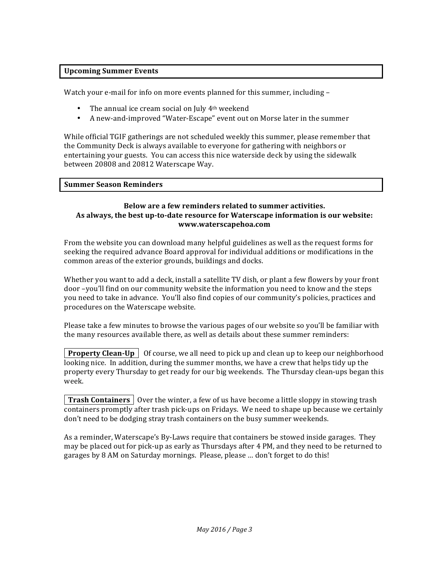# **Upcoming Summer Events**

Watch your e-mail for info on more events planned for this summer, including -

- The annual ice cream social on July  $4<sup>th</sup>$  weekend
- A new-and-improved "Water-Escape" event out on Morse later in the summer

While official TGIF gatherings are not scheduled weekly this summer, please remember that the Community Deck is always available to everyone for gathering with neighbors or entertaining your guests. You can access this nice waterside deck by using the sidewalk between 20808 and 20812 Waterscape Way.

## **Summer Season Reminders**

## **Below are a few reminders related to summer activities.** As always, the best up-to-date resource for Waterscape information is our website: **www.waterscapehoa.com**

From the website you can download many helpful guidelines as well as the request forms for seeking the required advance Board approval for individual additions or modifications in the common areas of the exterior grounds, buildings and docks.

Whether you want to add a deck, install a satellite TV dish, or plant a few flowers by your front door -you'll find on our community website the information you need to know and the steps you need to take in advance. You'll also find copies of our community's policies, practices and procedures on the Waterscape website.

Please take a few minutes to browse the various pages of our website so you'll be familiar with the many resources available there, as well as details about these summer reminders:

**Property Clean-Up** | Of course, we all need to pick up and clean up to keep our neighborhood looking nice. In addition, during the summer months, we have a crew that helps tidy up the property every Thursday to get ready for our big weekends. The Thursday clean-ups began this week. 

**Trash Containers** Over the winter, a few of us have become a little sloppy in stowing trash containers promptly after trash pick-ups on Fridays. We need to shape up because we certainly don't need to be dodging stray trash containers on the busy summer weekends.

As a reminder, Waterscape's By-Laws require that containers be stowed inside garages. They may be placed out for pick-up as early as Thursdays after 4 PM, and they need to be returned to garages by 8 AM on Saturday mornings. Please, please ... don't forget to do this!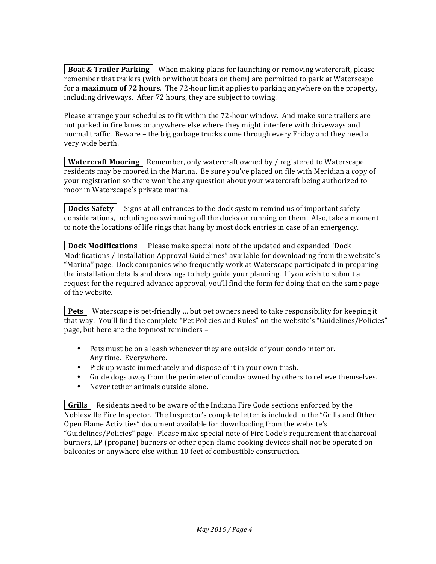**Boat & Trailer Parking** | When making plans for launching or removing watercraft, please remember that trailers (with or without boats on them) are permitted to park at Waterscape for a **maximum of 72 hours**. The 72-hour limit applies to parking anywhere on the property, including driveways. After 72 hours, they are subject to towing.

Please arrange your schedules to fit within the 72-hour window. And make sure trailers are not parked in fire lanes or anywhere else where they might interfere with driveways and normal traffic. Beware – the big garbage trucks come through every Friday and they need a very wide berth.

**Watercraft Mooring** Remember, only watercraft owned by / registered to Waterscape residents may be moored in the Marina. Be sure you've placed on file with Meridian a copy of your registration so there won't be any question about your watercraft being authorized to moor in Waterscape's private marina.

**Docks Safety** Signs at all entrances to the dock system remind us of important safety considerations, including no swimming off the docks or running on them. Also, take a moment to note the locations of life rings that hang by most dock entries in case of an emergency.

**Dock Modifications**  $\vert$  Please make special note of the updated and expanded "Dock" Modifications / Installation Approval Guidelines" available for downloading from the website's "Marina" page. Dock companies who frequently work at Waterscape participated in preparing the installation details and drawings to help guide your planning. If you wish to submit a request for the required advance approval, you'll find the form for doing that on the same page of the website.

**Pets** | Waterscape is pet-friendly ... but pet owners need to take responsibility for keeping it that way. You'll find the complete "Pet Policies and Rules" on the website's "Guidelines/Policies" page, but here are the topmost reminders -

- Pets must be on a leash whenever they are outside of your condo interior. Any time. Everywhere.
- Pick up waste immediately and dispose of it in your own trash.
- Guide dogs away from the perimeter of condos owned by others to relieve themselves.
- Never tether animals outside alone.

**Grills** Residents need to be aware of the Indiana Fire Code sections enforced by the Noblesville Fire Inspector. The Inspector's complete letter is included in the "Grills and Other Open Flame Activities" document available for downloading from the website's "Guidelines/Policies" page. Please make special note of Fire Code's requirement that charcoal burners, LP (propane) burners or other open-flame cooking devices shall not be operated on balconies or anywhere else within 10 feet of combustible construction.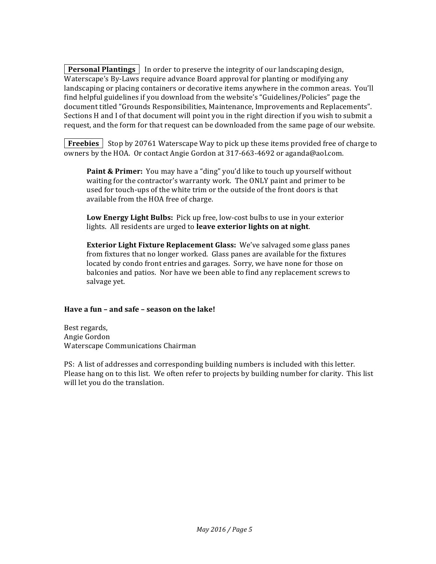**Personal Plantings** In order to preserve the integrity of our landscaping design, Waterscape's By-Laws require advance Board approval for planting or modifying any landscaping or placing containers or decorative items anywhere in the common areas. You'll find helpful guidelines if you download from the website's "Guidelines/Policies" page the document titled "Grounds Responsibilities, Maintenance, Improvements and Replacements". Sections H and I of that document will point you in the right direction if you wish to submit a request, and the form for that request can be downloaded from the same page of our website.

**Freebies** Stop by 20761 Waterscape Way to pick up these items provided free of charge to owners by the HOA. Or contact Angie Gordon at 317-663-4692 or aganda@aol.com.

**Paint & Primer:** You may have a "ding" you'd like to touch up yourself without waiting for the contractor's warranty work. The ONLY paint and primer to be used for touch-ups of the white trim or the outside of the front doors is that available from the HOA free of charge.

**Low Energy Light Bulbs:** Pick up free, low-cost bulbs to use in your exterior lights. All residents are urged to leave exterior lights on at night.

**Exterior Light Fixture Replacement Glass:** We've salvaged some glass panes from fixtures that no longer worked. Glass panes are available for the fixtures located by condo front entries and garages. Sorry, we have none for those on balconies and patios. Nor have we been able to find any replacement screws to salvage yet.

#### **Have a fun - and safe - season on the lake!**

Best regards, Angie Gordon Waterscape Communications Chairman

PS: A list of addresses and corresponding building numbers is included with this letter. Please hang on to this list. We often refer to projects by building number for clarity. This list will let you do the translation.